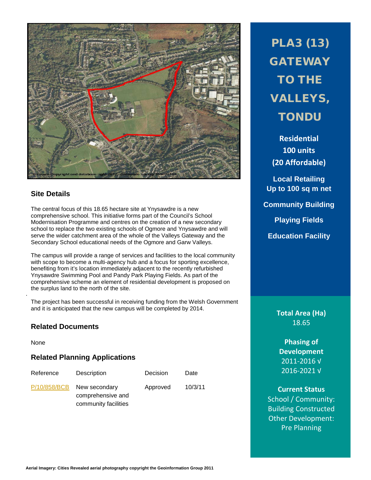

## **Site Details**

The central focus of this 18.65 hectare site at Ynysawdre is a new comprehensive school. This initiative forms part of the Council's School Modernisation Programme and centres on the creation of a new secondary school to replace the two existing schools of Ogmore and Ynysawdre and will serve the wider catchment area of the whole of the Valleys Gateway and the Secondary School educational needs of the Ogmore and Garw Valleys.

The campus will provide a range of services and facilities to the local community with scope to become a multi-agency hub and a focus for sporting excellence, benefiting from it's location immediately adjacent to the recently refurbished Ynysawdre Swimming Pool and Pandy Park Playing Fields. As part of the comprehensive scheme an element of residential development is proposed on the surplus land to the north of the site.

The project has been successful in receiving funding from the Welsh Government and it is anticipated that the new campus will be completed by 2014.

#### **Related Documents**

None

.

# **Related Planning Applications**

| Reference    | Description                                                | Decision | Date    |
|--------------|------------------------------------------------------------|----------|---------|
| P/10/858/BCB | New secondary<br>comprehensive and<br>community facilities | Approved | 10/3/11 |

PLA3 (13) **GATEWAY** TO THE VALLEYS, **TONDU** 

**Residential 100 units (20 Affordable)**

**Local Retailing Up to 100 sq m net Community Building Playing Fields**

**Education Facility**

**Total Area (Ha)** 18.65

**Phasing of Development** 2011-2016 √ 2016-2021 √

**Current Status** School / Community: Building Constructed Other Development: Pre Planning